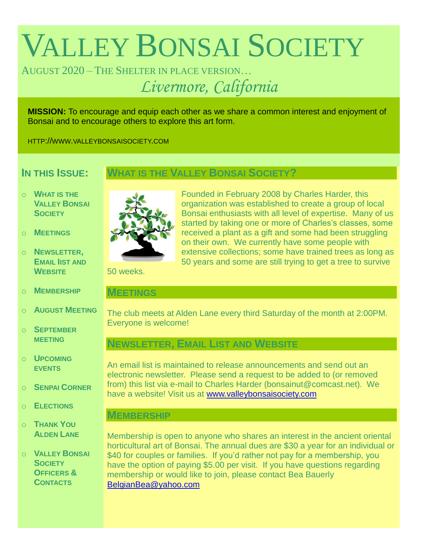# VALLEY BONSAI SOCIETY

# AUGUST 2020 – THE SHELTER IN PLACE VERSION… *Livermore, California*

**MISSION:** To encourage and equip each other as we share a common interest and enjoyment of Bonsai and to encourage others to explore this art form.

HTTP://WWW.VALLEYBONSAISOCIETY.COM

## **IN THIS ISSUE:**

### **WHAT IS THE VALLEY BONSAI SOCIETY?**

- o **WHAT IS THE VALLEY BONSAI SOCIETY**
- o **MEETINGS**
- o **NEWSLETTER, EMAIL IIST AND WEBSITE**
- o **MEMBERSHIP**
- o **AUGUST MEETING**
- o **SEPTEMBER MEETING**
- o **UPCOMING EVENTS**
- o **SENPAI CORNER**
- o **ELECTIONS**
- o **THANK YOU ALDEN LANE**
- o **VALLEY BONSAI SOCIETY OFFICERS & CONTACTS**



Founded in February 2008 by Charles Harder, this organization was established to create a group of local Bonsai enthusiasts with all level of expertise. Many of us started by taking one or more of Charles's classes, some received a plant as a gift and some had been struggling on their own. We currently have some people with extensive collections; some have trained trees as long as 50 years and some are still trying to get a tree to survive

50 weeks.

#### **MEETINGS**

The club meets at Alden Lane every third Saturday of the month at 2:00PM. Everyone is welcome!

## **NEWSLETTER, EMAIL LIST AND WEBSITE**

An email list is maintained to release announcements and send out an electronic newsletter. Please send a request to be added to (or removed from) this list via e-mail to Charles Harder (bonsainut@comcast.net). We have a website! Visit us at [www.valleybonsaisociety.com](http://www.valleybonsaisociety.com/)

#### **MEMBERSHIP**

Membership is open to anyone who shares an interest in the ancient oriental horticultural art of Bonsai. The annual dues are \$30 a year for an individual or \$40 for couples or families. If you'd rather not pay for a membership, you have the option of paying \$5.00 per visit. If you have questions regarding membership or would like to join, please contact Bea Bauerly [BelgianBea@yahoo.com](mailto:BelgianBea@yahoo.com)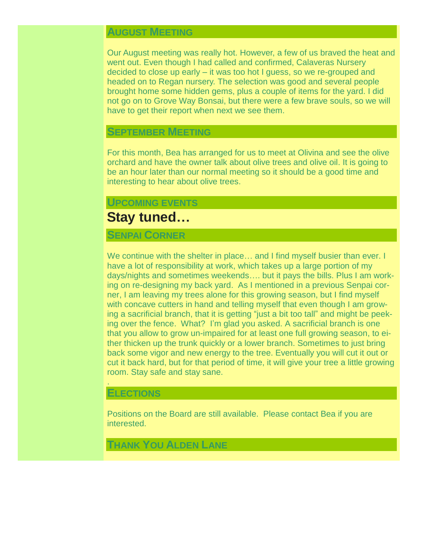## **AUGUST MEETING**

Our August meeting was really hot. However, a few of us braved the heat and went out. Even though I had called and confirmed, Calaveras Nursery decided to close up early – it was too hot I guess, so we re-grouped and headed on to Regan nursery. The selection was good and several people brought home some hidden gems, plus a couple of items for the yard. I did not go on to Grove Way Bonsai, but there were a few brave souls, so we will have to get their report when next we see them.

#### **SEPTEMBER MEETING**

For this month, Bea has arranged for us to meet at Olivina and see the olive orchard and have the owner talk about olive trees and olive oil. It is going to be an hour later than our normal meeting so it should be a good time and interesting to hear about olive trees.

#### **UPCOMING EVENTS**

## **Stay tuned…**

#### **SENPAI CORNER**

We continue with the shelter in place… and I find myself busier than ever. I have a lot of responsibility at work, which takes up a large portion of my days/nights and sometimes weekends…. but it pays the bills. Plus I am working on re-designing my back yard. As I mentioned in a previous Senpai corner, I am leaving my trees alone for this growing season, but I find myself with concave cutters in hand and telling myself that even though I am growing a sacrificial branch, that it is getting "just a bit too tall" and might be peeking over the fence. What? I'm glad you asked. A sacrificial branch is one that you allow to grow un-impaired for at least one full growing season, to either thicken up the trunk quickly or a lower branch. Sometimes to just bring back some vigor and new energy to the tree. Eventually you will cut it out or cut it back hard, but for that period of time, it will give your tree a little growing room. Stay safe and stay sane.

#### **ELECTIONS**

.

Positions on the Board are still available. Please contact Bea if you are interested.

## **THANK YOU ALDEN LANE**